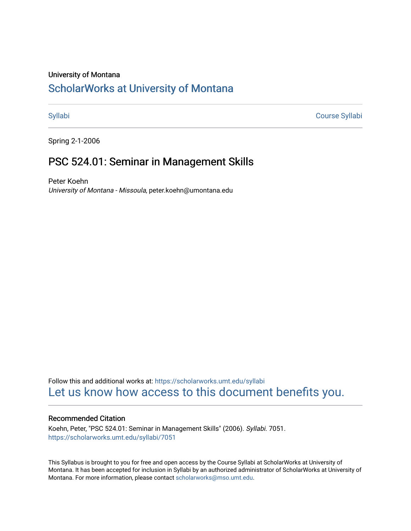#### University of Montana

# [ScholarWorks at University of Montana](https://scholarworks.umt.edu/)

[Syllabi](https://scholarworks.umt.edu/syllabi) [Course Syllabi](https://scholarworks.umt.edu/course_syllabi) 

Spring 2-1-2006

# PSC 524.01: Seminar in Management Skills

Peter Koehn University of Montana - Missoula, peter.koehn@umontana.edu

Follow this and additional works at: [https://scholarworks.umt.edu/syllabi](https://scholarworks.umt.edu/syllabi?utm_source=scholarworks.umt.edu%2Fsyllabi%2F7051&utm_medium=PDF&utm_campaign=PDFCoverPages)  [Let us know how access to this document benefits you.](https://goo.gl/forms/s2rGfXOLzz71qgsB2) 

#### Recommended Citation

Koehn, Peter, "PSC 524.01: Seminar in Management Skills" (2006). Syllabi. 7051. [https://scholarworks.umt.edu/syllabi/7051](https://scholarworks.umt.edu/syllabi/7051?utm_source=scholarworks.umt.edu%2Fsyllabi%2F7051&utm_medium=PDF&utm_campaign=PDFCoverPages)

This Syllabus is brought to you for free and open access by the Course Syllabi at ScholarWorks at University of Montana. It has been accepted for inclusion in Syllabi by an authorized administrator of ScholarWorks at University of Montana. For more information, please contact [scholarworks@mso.umt.edu.](mailto:scholarworks@mso.umt.edu)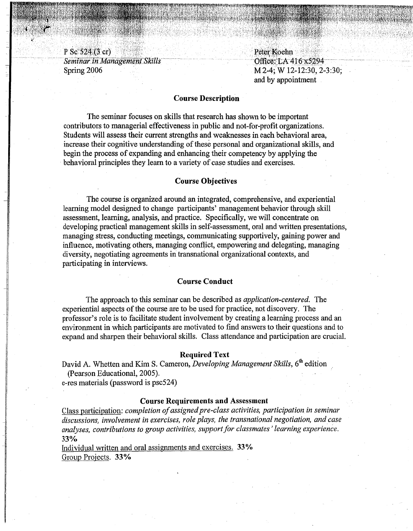P Sc 524 (3 cr) 1 P Sc 524 (3 cr)<br>
Seminar in Management Skills<br>
Spring 2006 . M 2-4; W 12-12:30, 2-3:30;

and by appointment

 $, \mathcal{P}^{\prime\prime}$ 

### **Course Description**

The seminar focuses on skills that research has shown to be important contributors to managerial effectiveness in public and not-for-profit organizations. Students will assess their current strengths and weaknesses in each behavioral area, increase their cognitive understanding of these personal and organizational skills, and begin the process of expanding and enhancing their competency by applying the behavioral principles they learn to a variety of case studies and exercises.

#### **Course Objectives**

The course is organized around an integrated, comprehensive, and experiential learning model designed to change participants' management behavior through skill assessment, learning, analysis, and practice. Specifically, we will concentrate on developing practical management skills in self-assessment, oral and written presentations, managing stress, conducting meetings, communicating supportively, gaining power and influence, motivating others, managing conflict, empowering and delegating, managing diversity, negotiating agreements in transnational organizational contexts, and participating in interviews.

#### **Course Conduct**

The approach to this seminar can be described as *application-centered.* The experiential aspects of the course are to be used for practice, not discovery. The professor's role is to facilitate student involvement by creating a learning process and an environment in which participants are motivated to find answers to their questions and to expand and sharpen their behavioral skills. Class attendance and participation are crucial.

#### **Required Text**

David A. Whetten and Kim S. Cameron, *Developing Management Skills*, 6<sup>th</sup> edition (Pearson Educational, 2005).

e-res materials (password is psc524)

#### **Course Requirements and** Assessment

Class participation: *completion of assigned pre-class activities, participation in seminar discussions, involvement in exercises, role plays, the transnational negotiation, and case analyses, contributions to group activities, support for classmates' learning experience.*  33°/o

Individual written and oral assignments and exercises. 33% Group Projects. 33%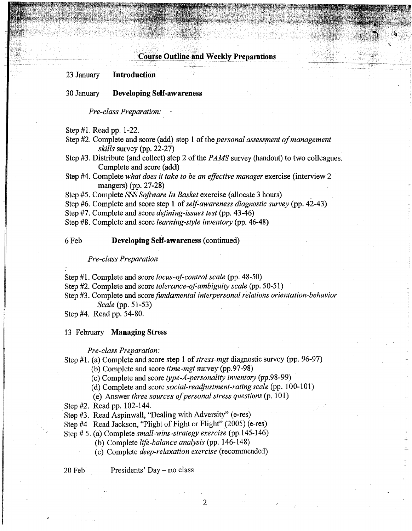### **Course Outline and Weekly Preparations**

#### 23 January Introduction

#### 30 January Developing Self-awareness

*Pre-class Preparation:* 

Step #1. Read pp. 1-22.

Step #2. Complete and score (add) step 1 of the *personal assessment of management skills* survey (pp. 22-27)

Step #3. Distribute (and collect) step 2 of the *PAMS* survey (handout) to two colleagues. Complete and score (add)

Step #4. Complete *what does it take to be an effective manager* exercise (interview 2 mangers) (pp. 27-28)

Step #5. Complete *SSS Software In Basket* exercise (allocate 3 hours)

Step #6. Complete and score step 1 of*self-awareness diagnostic survey* (pp. 42-43)

Step #7. Complete and score *defining-issues test* (pp. 43-46)

Step #8. Complete and score *learning-style inventory* (pp. 46-48)

#### 6 Feb Developing Self-awareness (continued)

#### *Pre-class Preparation*

Step #1. Complete and score *locus-of-control scale* (pp. 48-50)

Step #2. Complete and score *tolerance-of-ambiguity scale* (pp. 50-51)

Step #3. Complete and score *fundamental interpersonal relations orientation-behavior* 

*Scale* (pp. 51-53)

Step #4. Read pp. 54-80.

#### 13 February Managing Stress

#### *Pre-class Preparation:*

Step #1. (a) Complete and score step 1 of*stress-mgt* diagnostic survey (pp. 96-97)

(b) Complete and score *time-mgt* survey(pp.97-98)

(c) Complete and score *type-A-personality inventory* (pp.98-99)

(d) Complete and score *social-readjustment-rating scale* (pp. 100-101)

(e) Answer *three sources ofpersonal stress questions* (p. 101)

- Step #2. Read pp. 102-144.
- Step #3. Read Aspinwall, "Dealing with Adversity" (e-res)
- Step #4 Read Jackson, "Plight of Fight or Flight" (2005) (e-res)

Step # 5. (a) Complete *small-wins-strategy exercise* (pp.145-146)

- (b) Complete *life-balance analysis* (pp. 146-148)
- (c) Complete *deep-relaxation exercise* (recommended)

20 Feb Presidents' Day- no class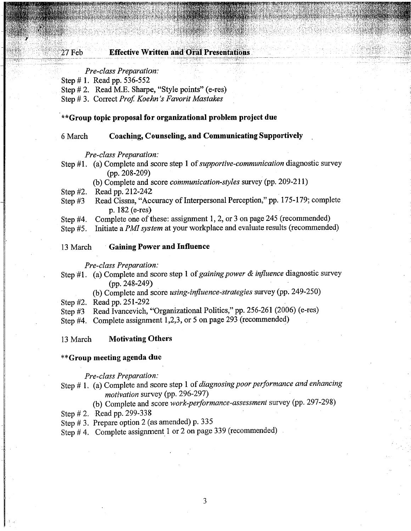#### 27 Feb **Effective Written and Oral Presentations**

#### *Pre-class Preparation:*

Step # **1.** Read pp. 536-552

Step # 2. Read M.E. Sharpe, "Style points" (e-res)

Step# 3. Correct *Prof Koehn 's Favorit Mastakes* 

#### **\*\*Group topic proposal for organizational problem project due**

#### 6 March **Coaching, Counseling, and Communicating Supportively**

#### *Pre-class Preparation:*

Step **#1.** (a) Complete and score step **1** of*supportive-communication* diagnostic survey (pp. 208-209)

 $\sim$ 

(b) Complete and score *communication-styles* survey (pp. 209-211)

Step #2. Read pp. 212-242

- Step #3 Read Cissna, "Accuracy of Interpersonal Perception," pp. 175-179; complete p. 182 (e-res)
- Step #4. Complete one of these: assignment 1, 2, or 3 on page 245 (recommended)

Step #5. Initiate a *PMI system* at your workplace and evaluate results (recommended)

## 13 March · **Gaining Power and Influence**

*Pre-class Preparation:* 

- Step #1. (a) Complete and score step 1 of *gaining power & influence* diagnostic survey (pp. 248-249)
	- (b) Complete and score *using-influence-strategies* survey (pp. 249-250)

Step #2. Read pp. 251-292

Step  $#3$  Read Ivancevich, "Organizational Politics," pp. 256-261 (2006) (e-res)

Step #4. Complete assignment 1,2,3, or 5 on page 293 (recommended)

#### 13 March **Motivating Others**

#### **\*\*Group meeting agenda due**

## *Pre-class Preparation:*

Step# **1.** (a) Complete and score step 1 of *diagnosing poor performance and enhancing motivation* survey (pp. 296-297)

(b) Complete and score *work-performance-assessment* survey (pp. 297-298)

Step # 2. Read pp. 299-338

Step# 3. Prepare option 2 (as amended) p. 335

Step # 4. Complete assignment 1 or 2 on page 339 (recommended)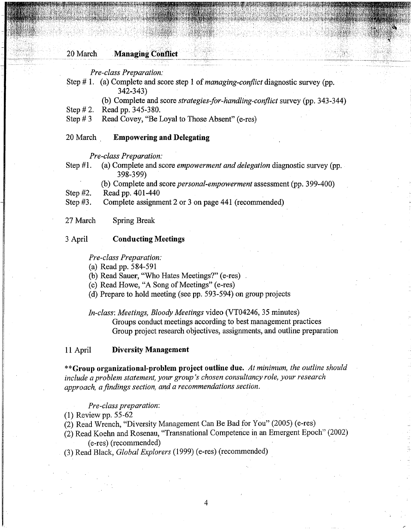#### 20 March **Managing Conflict**

*Pre-class Preparation:* 

- Step# 1. (a) Complete and score step 1 of *managing-conflict* diagnostic survey (pp. 342-343)
	- (b) Complete and score *strategies-for-handling-conflict* survey (pp. 343-344)
- Step # 2. Read pp. 345-380.
- Step  $# 3$  Read Covey, "Be Loyal to Those Absent" (e-res)

#### 20 March **Empowering and Delegating**

*Pre-class Preparation:* 

- Step **#1.** (a) Complete and score *empowerment and delegation* diagnostic survey (pp. 398-399)
	- (b) Complete and score *personal-empowerment* assessment (pp. 399-400)

Step #2. Read pp. 401-440

Step #3. Complete assignment 2 or 3 on page 441 (recommended)

27 March Spring Break

#### 3 April **Conducting Meetings**

*Pre-class Preparation:* 

(a) Read pp. 584-591

(b) Read Sauer, "Who Hates Meetings?" (e-res)

- (c) Read Howe, "A Song of Meetings" (e-res)
- (d) Prepare to hold meeting (see pp. 593-594) on group projects

*In-class: Meetings, Bloody Meetings* video (VT04246, 35 minutes)

Groups conduct meetings according to best management practices Group project research objectives, assignments, and outline preparation

#### 11 April **Diversity Management**

**\*\*Group organizational-problem project outline due.** *At minimum, the outline should include a problem statement, your group's chosen consultancy role, your research approach, a findings section, and a recommendations section.* 

*Pre-class preparation:* 

(1) Review pp. 55-62

(2) Read Wrench, "Diversity Management Can Be Bad for You" (2005) (e-res)

(2) Read Koehn and Rosenau, "Transnational Competence in an Emergent Epoch" (2002) (e-res) (recommended)

4

(3) Read Black, *Global Explorers* (1999) (e-res) (recommended)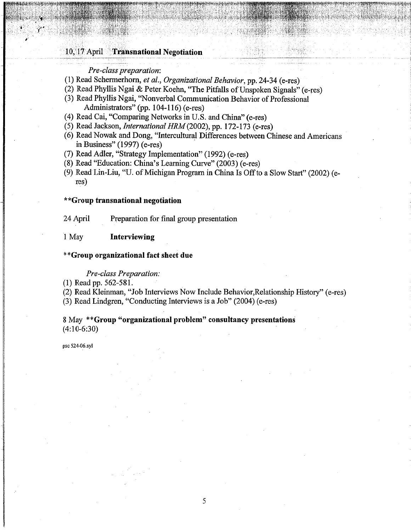### 10, 17 April Transnational Negotiation

#### Pre-class preparation:

- (1) Read Schermerhorn, et al., Organizational Behavior, pp. 24-34 (e-res)
- (2) Read Phyllis Ngai & Peter Koehn, "The Pitfalls of Unspoken Signals" (e-res)
- (3) Read Phyllis Ngai, "Nonverbal Communication Behavior of Professional Administrators" (pp. 104-116) (e-res)
- (4) Read Cai, "Comparing Networks in U.S. and China" (e-res)
- (5) Read Jackson, *International HRM* (2002), pp. 172-173 (e-res)
- (6) Read Nowak and Dong, "Intercultural Differences between Chinese and Americans in Business"  $(1997)$  (e-res)
- (7) Read Adler, "Strategy Implementation" (1992) (e-res)
- (8) Read "Education: China's Learning Curve" (2003) (e-res)
- (9) Read Lin-Liu, "U. of Michigan Program in China Is Off to a Slow Start" (2002) (e $res)$

#### \*\*Group transnational negotiation

24 April Preparation for final group presentation

#### 1 May Interviewing

#### \*\*Group organizational fact sheet due

#### **Pre-class Preparation:**

 $(1)$  Read pp. 562-581.

(2) Read Kleinman, "Job Interviews Now Include Behavior, Relationship History" (e-res)

(3) Read Lindgren, "Conducting Interviews is a Job" (2004) (e-res)

### 8 May \*\* Group "organizational problem" consultancy presentations  $(4:10-6:30)$

psc 524-06.syl